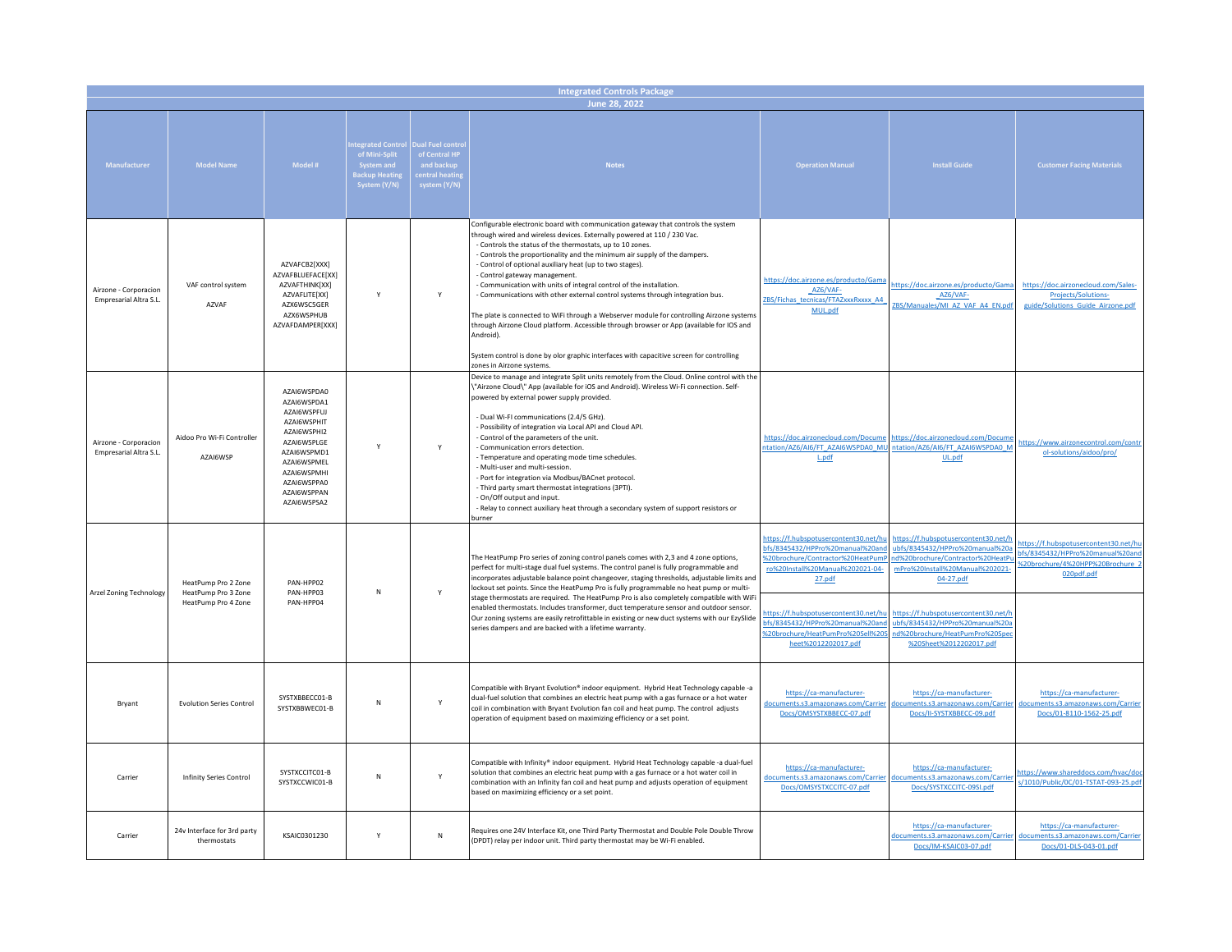| <b>Integrated Controls Package</b>              |                                                                   |                                                                                                                                                                                  |                                                                                 |                                                                                 |                                                                                                                                                                                                                                                                                                                                                                                                                                                                                                                                                                                                                                                                                                                                                                                                                                                                                         |                                                                                                                                                                                                                                                                                                   |                                                                                                                                                                                                                                                                                                     |                                                                                                                             |  |
|-------------------------------------------------|-------------------------------------------------------------------|----------------------------------------------------------------------------------------------------------------------------------------------------------------------------------|---------------------------------------------------------------------------------|---------------------------------------------------------------------------------|-----------------------------------------------------------------------------------------------------------------------------------------------------------------------------------------------------------------------------------------------------------------------------------------------------------------------------------------------------------------------------------------------------------------------------------------------------------------------------------------------------------------------------------------------------------------------------------------------------------------------------------------------------------------------------------------------------------------------------------------------------------------------------------------------------------------------------------------------------------------------------------------|---------------------------------------------------------------------------------------------------------------------------------------------------------------------------------------------------------------------------------------------------------------------------------------------------|-----------------------------------------------------------------------------------------------------------------------------------------------------------------------------------------------------------------------------------------------------------------------------------------------------|-----------------------------------------------------------------------------------------------------------------------------|--|
| June 28, 2022                                   |                                                                   |                                                                                                                                                                                  |                                                                                 |                                                                                 |                                                                                                                                                                                                                                                                                                                                                                                                                                                                                                                                                                                                                                                                                                                                                                                                                                                                                         |                                                                                                                                                                                                                                                                                                   |                                                                                                                                                                                                                                                                                                     |                                                                                                                             |  |
| Manufacturer                                    | <b>Model Name</b>                                                 | Model #                                                                                                                                                                          | tegrated Control<br>of Mini-Split<br>System and<br>ackup Heatin<br>System (Y/N) | ual Fuel contro<br>of Central HP<br>and backup<br>entral heatin<br>system (Y/N) | <b>Notes</b>                                                                                                                                                                                                                                                                                                                                                                                                                                                                                                                                                                                                                                                                                                                                                                                                                                                                            | <b>Operation Manual</b>                                                                                                                                                                                                                                                                           | Install Guide                                                                                                                                                                                                                                                                                       | <b>Customer Facing Materials</b>                                                                                            |  |
| Airzone - Corporacion<br>Empresarial Altra S.L. | VAF control system<br>AZVAF                                       | AZVAFCB2[XXX]<br>AZVAFBLUEFACE[XX]<br>AZVAFTHINK[XX]<br>AZVAFLITE[XX]<br>AZX6WSC5GER<br>AZX6WSPHUB<br>AZVAFDAMPER[XXX]                                                           | Y                                                                               | Y                                                                               | Configurable electronic board with communication gateway that controls the system<br>through wired and wireless devices. Externally powered at 110 / 230 Vac.<br>- Controls the status of the thermostats, up to 10 zones.<br>- Controls the proportionality and the minimum air supply of the dampers.<br>Control of optional auxiliary heat (up to two stages).<br>Control gateway management.<br>- Communication with units of integral control of the installation.<br>- Communications with other external control systems through integration bus.<br>The plate is connected to WiFi through a Webserver module for controlling Airzone systems<br>through Airzone Cloud platform. Accessible through browser or App (available for IOS and<br>Android).<br>System control is done by olor graphic interfaces with capacitive screen for controlling<br>zones in Airzone systems. | https://doc.airzone.es/producto/Gam<br>AZ6/VAF-<br>ZBS/Fichas_tecnicas/FTAZxxxRxxxx_A4<br>MUL.pdf                                                                                                                                                                                                 | https://doc.airzone.es/producto/Gama<br>AZ6/VAF-<br>ZBS/Manuales/MI_AZ_VAF_A4_EN.pd                                                                                                                                                                                                                 | https://doc.airzonecloud.com/Sales-<br>Projects/Solutions-<br>guide/Solutions_Guide_Airzone.pdf                             |  |
| Airzone - Corporacion<br>Empresarial Altra S.L. | Aidoo Pro Wi-Fi Controller<br>AZAI6WSP                            | AZAI6WSPDA0<br>AZAI6WSPDA1<br>AZAI6WSPFUJ<br>AZAI6WSPHIT<br>AZAI6WSPHI2<br>AZAI6WSPLGE<br>AZAI6WSPMD1<br>AZAI6WSPMEL<br>AZAI6WSPMHI<br>AZAI6WSPPA0<br>AZAI6WSPPAN<br>AZAI6WSPSA2 | Y                                                                               | Y                                                                               | Device to manage and integrate Split units remotely from the Cloud. Online control with the<br>\"Airzone Cloud\" App (available for iOS and Android). Wireless Wi-Fi connection. Self-<br>powered by external power supply provided.<br>- Dual Wi-FI communications (2.4/5 GHz).<br>- Possibility of integration via Local API and Cloud API.<br>- Control of the parameters of the unit.<br>- Communication errors detection.<br>- Temperature and operating mode time schedules.<br>- Multi-user and multi-session.<br>- Port for integration via Modbus/BACnet protocol.<br>- Third party smart thermostat integrations (3PTI).<br>- On/Off output and input.<br>- Relay to connect auxiliary heat through a secondary system of support resistors or<br>burner                                                                                                                      | https://doc.airzonecloud.com/Docume<br>ntation/AZ6/AI6/FT AZAI6WSPDA0 MU<br>L.pdf                                                                                                                                                                                                                 | https://doc.airzonecloud.com/Docum<br>ntation/AZ6/AI6/FT AZAI6WSPDA0 M<br>UL.pdf                                                                                                                                                                                                                    | https://www.airzonecontrol.com/contr<br>ol-solutions/aidoo/pro/                                                             |  |
| Arzel Zoning Technology                         | HeatPump Pro 2 Zone<br>HeatPump Pro 3 Zone<br>HeatPump Pro 4 Zone | PAN-HPP02<br>PAN-HPP03<br>PAN-HPP04                                                                                                                                              | N                                                                               | Y                                                                               | The HeatPump Pro series of zoning control panels comes with 2,3 and 4 zone options,<br>perfect for multi-stage dual fuel systems. The control panel is fully programmable and<br>incorporates adjustable balance point changeover, staging thresholds, adjustable limits and<br>lockout set points. Since the HeatPump Pro is fully programmable no heat pump or multi-<br>stage thermostats are required. The HeatPump Pro is also completely compatible with WiFi<br>enabled thermostats. Includes transformer, duct temperature sensor and outdoor sensor.<br>Our zoning systems are easily retrofittable in existing or new duct systems with our EzySlide<br>series dampers and are backed with a lifetime warranty.                                                                                                                                                               | https://f.hubspotusercontent30.net/h<br>bfs/8345432/HPPro%20manual%20an<br>620brochure/Contractor%20HeatPum<br>ro%20Install%20Manual%202021-04-<br>27.pdf<br>https://f.hubspotusercontent30.net/hi<br>bfs/8345432/HPPro%20manual%20an<br>%20brochure/HeatPumPro%20Sell%209<br>heet%2012202017.pdf | https://f.hubspotusercontent30.net/h<br>ubfs/8345432/HPPro%20manual%20a<br>nd%20brochure/Contractor%20HeatP<br>mPro%20Install%20Manual%202021-<br>04-27.pdf<br>https://f.hubspotusercontent30.net/h<br>ubfs/8345432/HPPro%20manual%20a<br>nd%20brochure/HeatPumPro%20Spe<br>%20Sheet%2012202017.pdf | https://f.hubspotusercontent30.net/hu<br>bfs/8345432/HPPro%20manual%20and<br>%20brochure/4%20HPP%20Brochure 2<br>020pdf.pdf |  |
| Bryant                                          | <b>Evolution Series Control</b>                                   | SYSTXBBECC01-B<br>SYSTXBBWEC01-B                                                                                                                                                 | N                                                                               | Y                                                                               | Compatible with Bryant Evolution® indoor equipment. Hybrid Heat Technology capable -a<br>dual-fuel solution that combines an electric heat pump with a gas furnace or a hot water<br>coil in combination with Bryant Evolution fan coil and heat pump. The control adjusts<br>operation of equipment based on maximizing efficiency or a set point.                                                                                                                                                                                                                                                                                                                                                                                                                                                                                                                                     | https://ca-manufacturer-<br>documents.s3.amazonaws.com/Carrier<br>Docs/OMSYSTXBBECC-07.pdf                                                                                                                                                                                                        | https://ca-manufacturer-<br>ments.s3.amazonaws.com/Carrier<br>Docs/II-SYSTXBBECC-09.pdf                                                                                                                                                                                                             | https://ca-manufacturer-<br>documents.s3.amazonaws.com/Carrier<br>Docs/01-8110-1562-25.pdf                                  |  |
| Carrier                                         | Infinity Series Control                                           | SYSTXCCITC01-B<br>SYSTXCCWIC01-B                                                                                                                                                 | N                                                                               | Y                                                                               | Compatible with Infinity® indoor equipment. Hybrid Heat Technology capable -a dual-fuel<br>solution that combines an electric heat pump with a gas furnace or a hot water coil in<br>combination with an Infinity fan coil and heat pump and adjusts operation of equipment<br>based on maximizing efficiency or a set point.                                                                                                                                                                                                                                                                                                                                                                                                                                                                                                                                                           | https://ca-manufacturer-<br>documents.s3.amazonaws.com/Carrier<br>Docs/OMSYSTXCCITC-07.pdf                                                                                                                                                                                                        | https://ca-manufacturer-<br>documents.s3.amazonaws.com/Carrie<br>Docs/SYSTXCCITC-09SI.pdf                                                                                                                                                                                                           | https://www.shareddocs.com/hvac/doo<br>s/1010/Public/0C/01-TSTAT-093-25.pdf                                                 |  |
| Carrier                                         | 24v Interface for 3rd party<br>thermostats                        | KSAIC0301230                                                                                                                                                                     | Y                                                                               | ${\sf N}$                                                                       | Requires one 24V Interface Kit, one Third Party Thermostat and Double Pole Double Throw<br>(DPDT) relay per indoor unit. Third party thermostat may be Wi-Fi enabled.                                                                                                                                                                                                                                                                                                                                                                                                                                                                                                                                                                                                                                                                                                                   |                                                                                                                                                                                                                                                                                                   | https://ca-manufacturer-<br>documents.s3.amazonaws.com/Carrier<br>Docs/IM-KSAIC03-07.pdf                                                                                                                                                                                                            | https://ca-manufacturer-<br>documents.s3.amazonaws.com/Carrier<br>Docs/01-DLS-043-01.pdf                                    |  |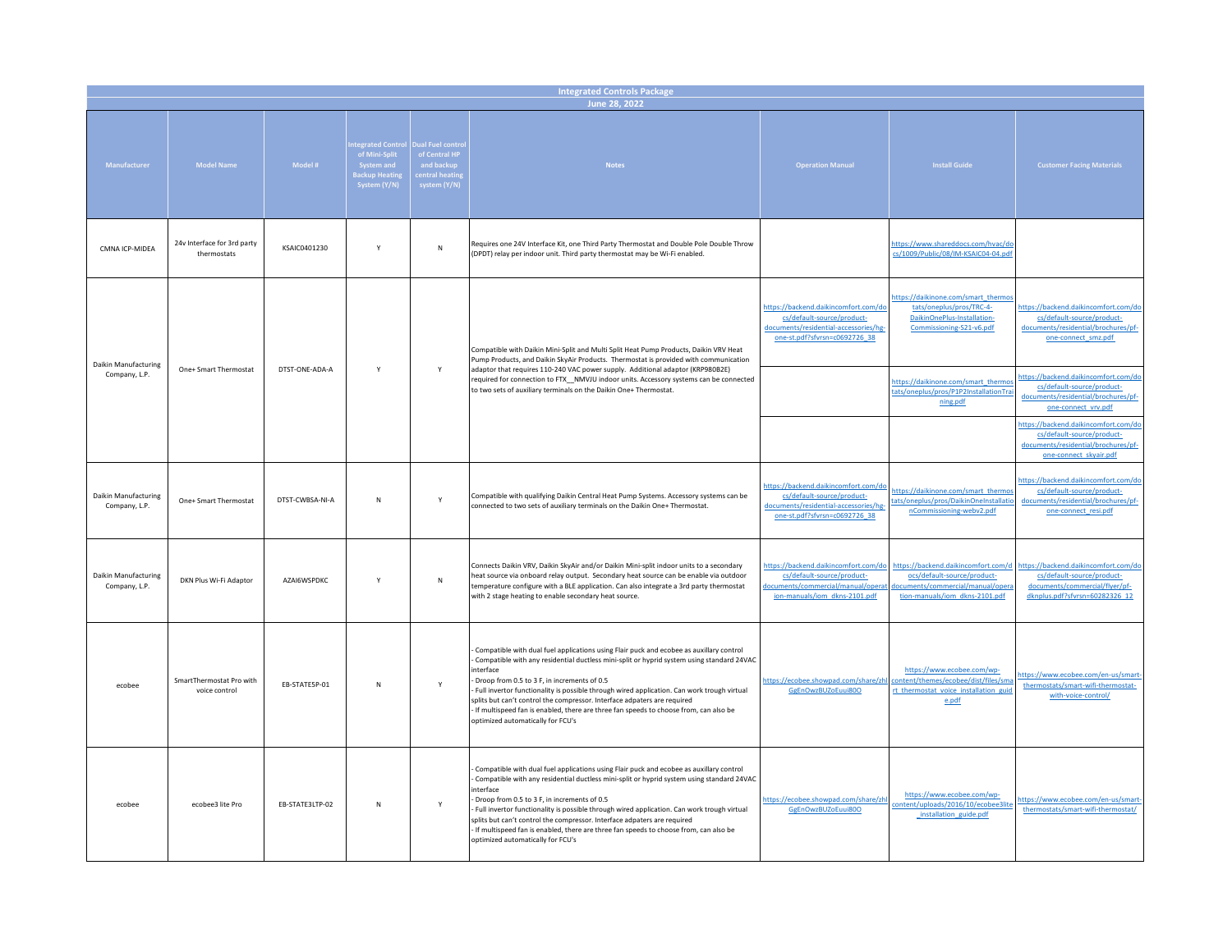| <b>Integrated Controls Package</b>    |                                            |                 |                                                                                                |                                                                                  |                                                                                                                                                                                                                                                                                                                                                                                                                                                                                                                                                         |                                                                                                                                              |                                                                                                                                           |                                                                                                                                        |  |  |  |
|---------------------------------------|--------------------------------------------|-----------------|------------------------------------------------------------------------------------------------|----------------------------------------------------------------------------------|---------------------------------------------------------------------------------------------------------------------------------------------------------------------------------------------------------------------------------------------------------------------------------------------------------------------------------------------------------------------------------------------------------------------------------------------------------------------------------------------------------------------------------------------------------|----------------------------------------------------------------------------------------------------------------------------------------------|-------------------------------------------------------------------------------------------------------------------------------------------|----------------------------------------------------------------------------------------------------------------------------------------|--|--|--|
|                                       | June 28, 2022                              |                 |                                                                                                |                                                                                  |                                                                                                                                                                                                                                                                                                                                                                                                                                                                                                                                                         |                                                                                                                                              |                                                                                                                                           |                                                                                                                                        |  |  |  |
| Manufacturer                          | <b>Model Name</b>                          | Model #         | tegrated Control<br>of Mini-Split<br>System and<br>ack <mark>up Heat</mark> ir<br>System (Y/N) | ual Fuel contro<br>of Central HP<br>and backup<br>entral heatin)<br>system (Y/N) | <b>Notes</b>                                                                                                                                                                                                                                                                                                                                                                                                                                                                                                                                            | <b>Operation Manual</b>                                                                                                                      | <b>Install Guide</b>                                                                                                                      | <b>Customer Facing Materials</b>                                                                                                       |  |  |  |
| CMNA ICP-MIDEA                        | 24v Interface for 3rd party<br>thermostats | KSAIC0401230    | Y                                                                                              | $\sf N$                                                                          | Requires one 24V Interface Kit, one Third Party Thermostat and Double Pole Double Throw<br>(DPDT) relay per indoor unit. Third party thermostat may be Wi-Fi enabled.                                                                                                                                                                                                                                                                                                                                                                                   |                                                                                                                                              | https://www.shareddocs.com/hvac/do<br>cs/1009/Public/08/IM-KSAIC04-04.pdf                                                                 |                                                                                                                                        |  |  |  |
| Daikin Manufacturing                  |                                            | DTST-ONE-ADA-A  | Y                                                                                              | Y                                                                                | Compatible with Daikin Mini-Split and Multi Split Heat Pump Products, Daikin VRV Heat<br>Pump Products, and Daikin SkyAir Products. Thermostat is provided with communication                                                                                                                                                                                                                                                                                                                                                                           | https://backend.daikincomfort.com/do<br>cs/default-source/product-<br>documents/residential-accessories/hg-<br>one-st.pdf?sfvrsn=c0692726_38 | https://daikinone.com/smart_thermo<br>tats/oneplus/pros/TRC-4-<br>DaikinOnePlus-Installation-<br>Commissioning-S21-v6.pdf                 | https://backend.daikincomfort.com/do<br>cs/default-source/product-<br>documents/residential/brochures/pf-<br>one-connect_smz.pdf       |  |  |  |
| Company, L.P.                         | One+ Smart Thermostat                      |                 |                                                                                                |                                                                                  | adaptor that requires 110-240 VAC power supply. Additional adaptor (KRP980B2E)<br>required for connection to FTX_NMVJU indoor units. Accessory systems can be connected<br>to two sets of auxiliary terminals on the Daikin One+ Thermostat.                                                                                                                                                                                                                                                                                                            |                                                                                                                                              | https://daikinone.com/smart_thermo<br>tats/oneplus/pros/P1P2InstallationTra<br>ning.pdf                                                   | https://backend.daikincomfort.com/do<br>cs/default-source/product-<br>documents/residential/brochures/pf-<br>one-connect_vrv.pdf       |  |  |  |
|                                       |                                            |                 |                                                                                                |                                                                                  |                                                                                                                                                                                                                                                                                                                                                                                                                                                                                                                                                         |                                                                                                                                              |                                                                                                                                           | https://backend.daikincomfort.com/de<br>cs/default-source/product-<br>documents/residential/brochures/pf-<br>one-connect_skyair.pdf    |  |  |  |
| Daikin Manufacturing<br>Company, L.P. | One+ Smart Thermostat                      | DTST-CWBSA-NI-A | N                                                                                              | Y                                                                                | Compatible with qualifying Daikin Central Heat Pump Systems. Accessory systems can be<br>connected to two sets of auxiliary terminals on the Daikin One+ Thermostat.                                                                                                                                                                                                                                                                                                                                                                                    | https://backend.daikincomfort.com/do<br>cs/default-source/product-<br>documents/residential-accessories/hg-<br>one-st.pdf?sfvrsn=c0692726_38 | https://daikinone.com/smart_thermo<br>tats/oneplus/pros/DaikinOneInstallati<br>nCommissioning-webv2.pdf                                   | https://backend.daikincomfort.com/do<br>cs/default-source/product-<br>documents/residential/brochures/pf-<br>one-connect_resi.pdf      |  |  |  |
| Daikin Manufacturing<br>Company, L.P. | DKN Plus Wi-Fi Adaptor                     | AZAI6WSPDKC     | Y                                                                                              | ${\sf N}$                                                                        | Connects Daikin VRV, Daikin SkyAir and/or Daikin Mini-split indoor units to a secondary<br>heat source via onboard relay output. Secondary heat source can be enable via outdoor<br>temperature configure with a BLE application. Can also integrate a 3rd party thermostat<br>with 2 stage heating to enable secondary heat source.                                                                                                                                                                                                                    | https://backend.daikincomfort.com/do<br>cs/default-source/product-<br>documents/commercial/manual/operation<br>ion-manuals/iom dkns-2101.pdf | https://backend.daikincomfort.com/d<br>ocs/default-source/product-<br>documents/commercial/manual/opera<br>tion-manuals/iom dkns-2101.pdf | https://backend.daikincomfort.com/dc<br>cs/default-source/product-<br>documents/commercial/flyer/pf-<br>dknplus.pdf?sfvrsn=60282326_12 |  |  |  |
| ecobee                                | SmartThermostat Pro with<br>voice control  | EB-STATE5P-01   | N                                                                                              | Y                                                                                | Compatible with dual fuel applications using Flair puck and ecobee as auxillary control<br>Compatible with any residential ductless mini-split or hyprid system using standard 24VAC<br>interface<br>Droop from 0.5 to 3 F, in increments of 0.5<br>Full invertor functionality is possible through wired application. Can work trough virtual<br>splits but can't control the compressor. Interface adpaters are required<br>If multispeed fan is enabled, there are three fan speeds to choose from, can also be<br>optimized automatically for FCU's | nttps://ecobee.showpad.com/share/zh<br>GgEnOwzBUZoEuui800                                                                                    | https://www.ecobee.com/wp-<br>content/themes/ecobee/dist/files/sm<br>rt thermostat_voice_installation_guid<br>e.pdf                       | https://www.ecobee.com/en-us/smart<br>thermostats/smart-wifi-thermostat-<br>with-voice-control/                                        |  |  |  |
| ecobee                                | ecobee3 lite Pro                           | EB-STATE3LTP-02 | N                                                                                              | Υ                                                                                | Compatible with dual fuel applications using Flair puck and ecobee as auxillary control<br>Compatible with any residential ductless mini-split or hyprid system using standard 24VAC<br>interface<br>Droop from 0.5 to 3 F, in increments of 0.5<br>Full invertor functionality is possible through wired application. Can work trough virtual<br>splits but can't control the compressor. Interface adpaters are required<br>If multispeed fan is enabled, there are three fan speeds to choose from, can also be<br>optimized automatically for FCU's | https://ecobee.showpad.com/share/zh<br>GgEnOwzBUZoEuui800                                                                                    | https://www.ecobee.com/wp-<br>:ontent/uploads/2016/10/ecobee3lit<br>_installation_guide.pdf                                               | https://www.ecobee.com/en-us/smart<br>thermostats/smart-wifi-thermostat/                                                               |  |  |  |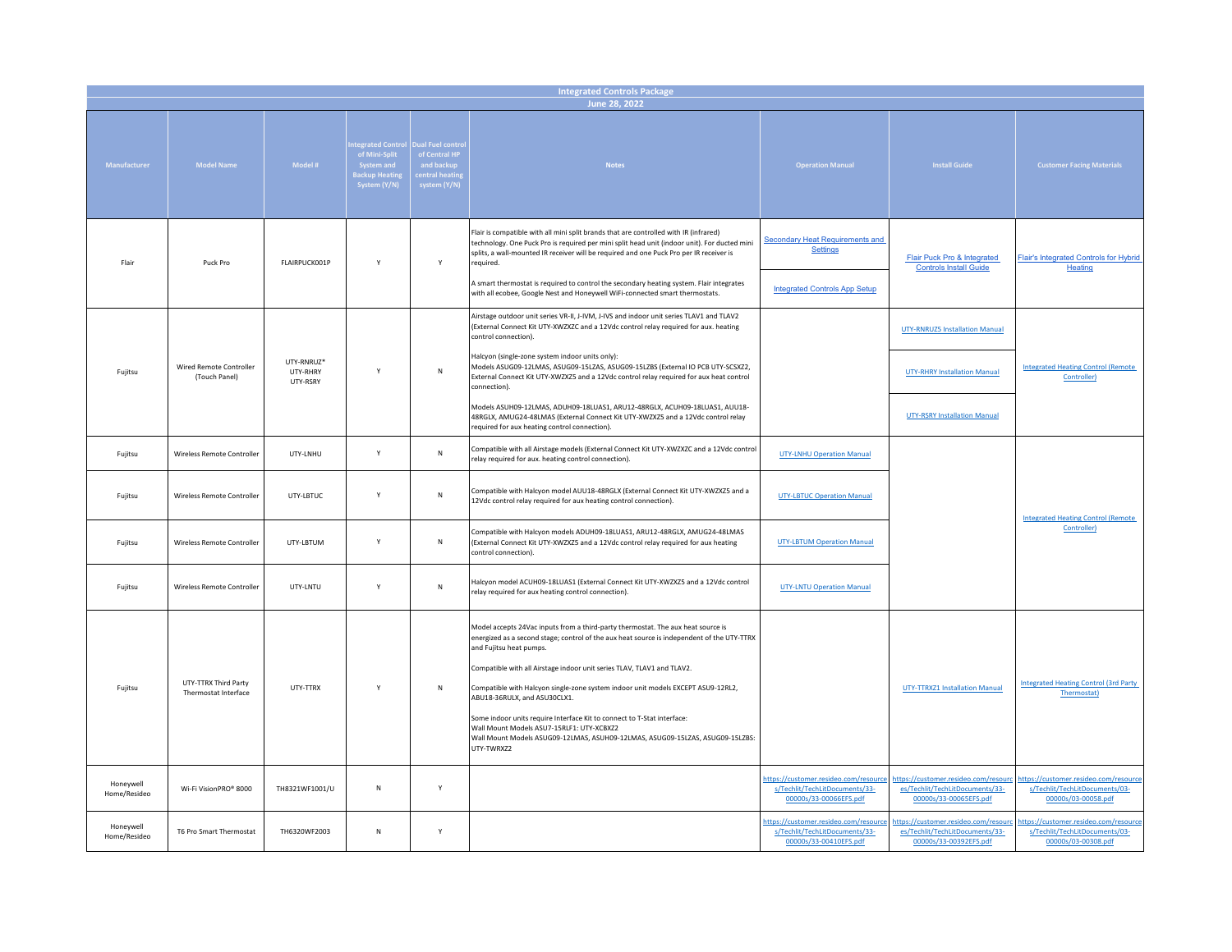| <b>Integrated Controls Package</b> |                                              |                      |                                                                                         |                                                                                  |                                                                                                                                                                                                                                                                                                                                                                                                                                                                                                                                                                                                                                |                                                                                                   |                                                                                                   |                                                                                                |  |  |
|------------------------------------|----------------------------------------------|----------------------|-----------------------------------------------------------------------------------------|----------------------------------------------------------------------------------|--------------------------------------------------------------------------------------------------------------------------------------------------------------------------------------------------------------------------------------------------------------------------------------------------------------------------------------------------------------------------------------------------------------------------------------------------------------------------------------------------------------------------------------------------------------------------------------------------------------------------------|---------------------------------------------------------------------------------------------------|---------------------------------------------------------------------------------------------------|------------------------------------------------------------------------------------------------|--|--|
|                                    | June 28, 2022                                |                      |                                                                                         |                                                                                  |                                                                                                                                                                                                                                                                                                                                                                                                                                                                                                                                                                                                                                |                                                                                                   |                                                                                                   |                                                                                                |  |  |
| Manufacturer                       | <b>Model Name</b>                            | Model #              | tegrated Control<br>of Mini-Split<br>System and<br><b>Backup Heatin</b><br>System (Y/N) | Jual Fuel contro<br>of Central HP<br>and backup<br>entral heatin<br>system (Y/N) | <b>Notes</b>                                                                                                                                                                                                                                                                                                                                                                                                                                                                                                                                                                                                                   | <b>Operation Manual</b>                                                                           | <b>Install Guide</b>                                                                              | <b>Customer Facing Materials</b>                                                               |  |  |
| Flair                              | Puck Pro                                     | FLAIRPUCK001P        | Y                                                                                       | Y                                                                                | Flair is compatible with all mini split brands that are controlled with IR (infrared)<br>technology. One Puck Pro is required per mini split head unit (indoor unit). For ducted mini<br>splits, a wall-mounted IR receiver will be required and one Puck Pro per IR receiver is<br>required.<br>A smart thermostat is required to control the secondary heating system. Flair integrates<br>with all ecobee, Google Nest and Honeywell WiFi-connected smart thermostats.                                                                                                                                                      | <b>Secondary Heat Requirements and</b><br><b>Settings</b><br><b>Integrated Controls App Setup</b> | Flair Puck Pro & Integrated<br><b>Controls Install Guide</b>                                      | Flair's Integrated Controls for Hybrid<br>Heating                                              |  |  |
|                                    |                                              | UTY-RNRUZ*           |                                                                                         |                                                                                  | Airstage outdoor unit series VR-II, J-IVM, J-IVS and indoor unit series TLAV1 and TLAV2<br>(External Connect Kit UTY-XWZXZC and a 12Vdc control relay required for aux. heating<br>control connection).<br>Halcyon (single-zone system indoor units only):                                                                                                                                                                                                                                                                                                                                                                     |                                                                                                   | <b>UTY-RNRUZ5 Installation Manual</b>                                                             |                                                                                                |  |  |
| Fujitsu                            | Wired Remote Controller<br>(Touch Panel)     | UTY-RHRY<br>UTY-RSRY | Y                                                                                       | ${\sf N}$                                                                        | Models ASUG09-12LMAS, ASUG09-15LZAS, ASUG09-15LZBS (External IO PCB UTY-SCSXZ2,<br>External Connect Kit UTY-XWZXZ5 and a 12Vdc control relay required for aux heat control<br>connection).<br>Models ASUH09-12LMAS, ADUH09-18LUAS1, ARU12-48RGLX, ACUH09-18LUAS1, AUU18-                                                                                                                                                                                                                                                                                                                                                       |                                                                                                   | <b>UTY-RHRY Installation Manual</b>                                                               | <b>Integrated Heating Control (Remote</b><br>Controller)                                       |  |  |
|                                    |                                              |                      |                                                                                         |                                                                                  | 48RGLX, AMUG24-48LMAS (External Connect Kit UTY-XWZXZ5 and a 12Vdc control relay<br>required for aux heating control connection).                                                                                                                                                                                                                                                                                                                                                                                                                                                                                              |                                                                                                   | <b>UTY-RSRY Installation Manual</b>                                                               |                                                                                                |  |  |
| Fujitsu                            | Wireless Remote Controller                   | UTY-LNHU             | Y                                                                                       | ${\sf N}$                                                                        | Compatible with all Airstage models (External Connect Kit UTY-XWZXZC and a 12Vdc control<br>relay required for aux. heating control connection).                                                                                                                                                                                                                                                                                                                                                                                                                                                                               | <b>UTY-LNHU Operation Manual</b>                                                                  |                                                                                                   |                                                                                                |  |  |
| Fujitsu                            | Wireless Remote Controller                   | UTY-LBTUC            | Y                                                                                       | ${\sf N}$                                                                        | Compatible with Halcyon model AUU18-48RGLX (External Connect Kit UTY-XWZXZ5 and a<br>12Vdc control relay required for aux heating control connection).                                                                                                                                                                                                                                                                                                                                                                                                                                                                         | <b>UTY-LBTUC Operation Manual</b>                                                                 |                                                                                                   | <b>Integrated Heating Control (Remote</b>                                                      |  |  |
| Fujitsu                            | Wireless Remote Controller                   | UTY-LBTUM            | Y                                                                                       | ${\sf N}$                                                                        | Compatible with Halcyon models ADUH09-18LUAS1, ARU12-48RGLX, AMUG24-48LMAS<br>(External Connect Kit UTY-XWZXZ5 and a 12Vdc control relay required for aux heating<br>control connection).                                                                                                                                                                                                                                                                                                                                                                                                                                      | <b>UTY-LBTUM Operation Manual</b>                                                                 |                                                                                                   | Controller)                                                                                    |  |  |
| Fujitsu                            | Wireless Remote Controller                   | UTY-LNTU             | Y                                                                                       | ${\sf N}$                                                                        | Halcyon model ACUH09-18LUAS1 (External Connect Kit UTY-XWZXZ5 and a 12Vdc control<br>relay required for aux heating control connection).                                                                                                                                                                                                                                                                                                                                                                                                                                                                                       | <b>UTY-LNTU Operation Manual</b>                                                                  |                                                                                                   |                                                                                                |  |  |
| Fujitsu                            | UTY-TTRX Third Party<br>Thermostat Interface | UTY-TTRX             | Y                                                                                       | N                                                                                | Model accepts 24Vac inputs from a third-party thermostat. The aux heat source is<br>energized as a second stage; control of the aux heat source is independent of the UTY-TTRX<br>and Fujitsu heat pumps.<br>Compatible with all Airstage indoor unit series TLAV, TLAV1 and TLAV2.<br>Compatible with Halcyon single-zone system indoor unit models EXCEPT ASU9-12RL2,<br>ABU18-36RULX, and ASU30CLX1.<br>Some indoor units require Interface Kit to connect to T-Stat interface:<br>Wall Mount Models ASU7-15RLF1: UTY-XCBXZ2<br>Wall Mount Models ASUG09-12LMAS, ASUH09-12LMAS, ASUG09-15LZAS, ASUG09-15LZBS:<br>UTY-TWRXZ2 |                                                                                                   | <b>UTY-TTRXZ1 Installation Manual</b>                                                             | <b>Integrated Heating Control (3rd Party</b><br>Thermostat)                                    |  |  |
| Honevwell<br>Home/Resideo          | Wi-Fi VisionPRO® 8000                        | TH8321WF1001/U       | ${\sf N}$                                                                               | Y                                                                                |                                                                                                                                                                                                                                                                                                                                                                                                                                                                                                                                                                                                                                | https://customer.resideo.com/resource<br>s/Techlit/TechLitDocuments/33-<br>00000s/33-00066EFS.pdf | https://customer.resideo.com/resouro<br>es/Techlit/TechLitDocuments/33-<br>00000s/33-00065EFS.pdf | https://customer.resideo.com/resource<br>s/Techlit/TechLitDocuments/03-<br>00000s/03-00058.pdf |  |  |
| Honeywell<br>Home/Resideo          | T6 Pro Smart Thermostat                      | TH6320WF2003         | N                                                                                       | Y                                                                                |                                                                                                                                                                                                                                                                                                                                                                                                                                                                                                                                                                                                                                | https://customer.resideo.com/resource<br>s/Techlit/TechLitDocuments/33-<br>00000s/33-00410EFS.pdf | https://customer.resideo.com/resoure<br>es/Techlit/TechLitDocuments/33-<br>00000s/33-00392EFS.pdf | https://customer.resideo.com/resource<br>s/Techlit/TechLitDocuments/03-<br>00000s/03-00308.pdf |  |  |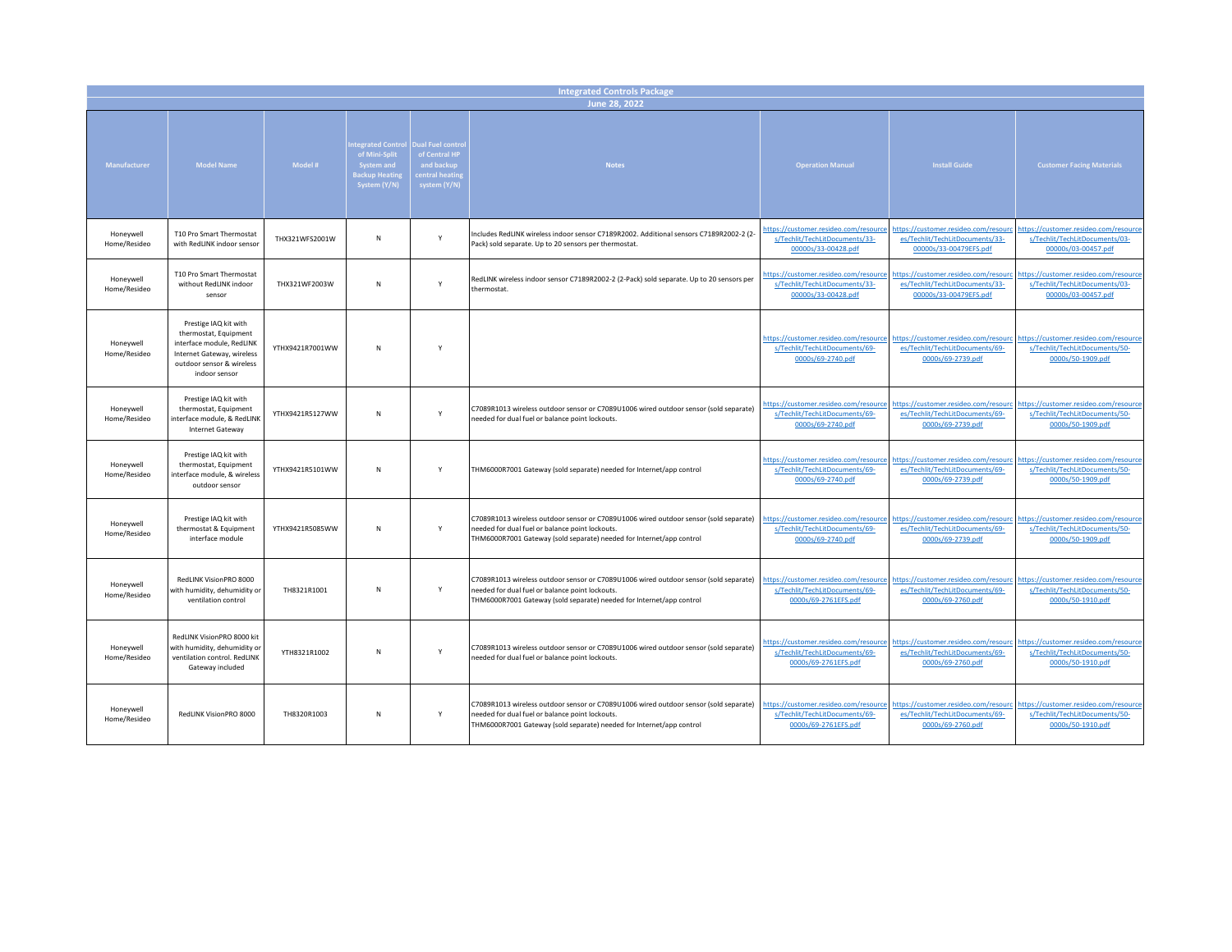| <b>Integrated Controls Package</b> |                                                                                                                                                         |                 |                                                                                  |                                                                                          |                                                                                                                                                                                                                  |                                                                                                 |                                                                                                   |                                                                                                |  |  |  |
|------------------------------------|---------------------------------------------------------------------------------------------------------------------------------------------------------|-----------------|----------------------------------------------------------------------------------|------------------------------------------------------------------------------------------|------------------------------------------------------------------------------------------------------------------------------------------------------------------------------------------------------------------|-------------------------------------------------------------------------------------------------|---------------------------------------------------------------------------------------------------|------------------------------------------------------------------------------------------------|--|--|--|
|                                    | June 28, 2022                                                                                                                                           |                 |                                                                                  |                                                                                          |                                                                                                                                                                                                                  |                                                                                                 |                                                                                                   |                                                                                                |  |  |  |
| Manufacturer                       | <b>Model Name</b>                                                                                                                                       | Model #         | tegrated Control<br>of Mini-Split<br>System and<br>Backup Heatin<br>System (Y/N) | <b>Dual Fuel contro</b><br>of Central HP<br>and backup<br>entral heating<br>system (Y/N) | <b>Notes</b>                                                                                                                                                                                                     | <b>Operation Manual</b>                                                                         | <b>Install Guide</b>                                                                              | <b>Customer Facing Materials</b>                                                               |  |  |  |
| Honeywell<br>Home/Resideo          | T10 Pro Smart Thermostat<br>with RedLINK indoor sensor                                                                                                  | THX321WFS2001W  | ${\sf N}$                                                                        | Υ                                                                                        | Includes RedLINK wireless indoor sensor C7189R2002. Additional sensors C7189R2002-2 (2-<br>Pack) sold separate. Up to 20 sensors per thermostat.                                                                 | https://customer.resideo.com/resource<br>s/Techlit/TechLitDocuments/33-<br>00000s/33-00428.pdf  | https://customer.resideo.com/resourc<br>es/Techlit/TechLitDocuments/33-<br>00000s/33-00479EFS.pdf | https://customer.resideo.com/resource<br>s/Techlit/TechLitDocuments/03-<br>00000s/03-00457.pdf |  |  |  |
| Honeywell<br>Home/Resideo          | T10 Pro Smart Thermostat<br>without RedLINK indoor<br>sensor                                                                                            | THX321WF2003W   | N                                                                                | Y                                                                                        | RedLINK wireless indoor sensor C7189R2002-2 (2-Pack) sold separate. Up to 20 sensors per<br>thermostat.                                                                                                          | https://customer.resideo.com/resource<br>s/Techlit/TechLitDocuments/33-<br>00000s/33-00428.pdf  | https://customer.resideo.com/resourc<br>es/Techlit/TechLitDocuments/33-<br>00000s/33-00479EFS.pdf | https://customer.resideo.com/resource<br>s/Techlit/TechLitDocuments/03-<br>00000s/03-00457.pdf |  |  |  |
| Honeywell<br>Home/Resideo          | Prestige IAQ kit with<br>thermostat, Equipment<br>interface module, RedLINK<br>Internet Gateway, wireless<br>outdoor sensor & wireless<br>indoor sensor | YTHX9421R7001WW | N                                                                                | Y                                                                                        |                                                                                                                                                                                                                  | https://customer.resideo.com/resourc<br>s/Techlit/TechLitDocuments/69-<br>0000s/69-2740.pdf     | https://customer.resideo.com/resourc<br>es/Techlit/TechLitDocuments/69-<br>0000s/69-2739.pdf      | https://customer.resideo.com/resourc<br>s/Techlit/TechLitDocuments/50-<br>0000s/50-1909.pdf    |  |  |  |
| Honeywell<br>Home/Resideo          | Prestige IAQ kit with<br>thermostat, Equipment<br>interface module, & RedLINK<br>Internet Gateway                                                       | YTHX9421R5127WW | N                                                                                | Y                                                                                        | C7089R1013 wireless outdoor sensor or C7089U1006 wired outdoor sensor (sold separate)<br>needed for dual fuel or balance point lockouts.                                                                         | https://customer.resideo.com/resourc<br>s/Techlit/TechLitDocuments/69-<br>0000s/69-2740.pdf     | nttps://customer.resideo.com/resourc<br>es/Techlit/TechLitDocuments/69-<br>0000s/69-2739.pdf      | https://customer.resideo.com/resourc<br>s/Techlit/TechLitDocuments/50-<br>0000s/50-1909.pdf    |  |  |  |
| Honeywell<br>Home/Resideo          | Prestige IAQ kit with<br>thermostat, Equipment<br>interface module, & wireless<br>outdoor sensor                                                        | YTHX9421R5101WW | N                                                                                | $\mathsf Y$                                                                              | THM6000R7001 Gateway (sold separate) needed for Internet/app control                                                                                                                                             | https://customer.resideo.com/resource<br>s/Techlit/TechLitDocuments/69-<br>0000s/69-2740.pdf    | https://customer.resideo.com/resourc<br>es/Techlit/TechLitDocuments/69-<br>0000s/69-2739.pdf      | https://customer.resideo.com/resource<br>s/Techlit/TechLitDocuments/50-<br>0000s/50-1909.pdf   |  |  |  |
| Honeywell<br>Home/Resideo          | Prestige IAQ kit with<br>thermostat & Equipment<br>interface module                                                                                     | YTHX9421R5085WW | ${\sf N}$                                                                        | Y                                                                                        | C7089R1013 wireless outdoor sensor or C7089U1006 wired outdoor sensor (sold separate)<br>needed for dual fuel or balance point lockouts.<br>THM6000R7001 Gateway (sold separate) needed for Internet/app control | https://customer.resideo.com/resourc<br>s/Techlit/TechLitDocuments/69-<br>0000s/69-2740.pdf     | https://customer.resideo.com/resourc<br>es/Techlit/TechLitDocuments/69-<br>0000s/69-2739.pdf      | https://customer.resideo.com/resourc<br>s/Techlit/TechLitDocuments/50-<br>0000s/50-1909.pdf    |  |  |  |
| Honeywell<br>Home/Resideo          | RedLINK VisionPRO 8000<br>with humidity, dehumidity or<br>ventilation control                                                                           | TH8321R1001     | N                                                                                | $\mathsf{Y}$                                                                             | C7089R1013 wireless outdoor sensor or C7089U1006 wired outdoor sensor (sold separate)<br>needed for dual fuel or balance point lockouts.<br>THM6000R7001 Gateway (sold separate) needed for Internet/app control | https://customer.resideo.com/resource<br>s/Techlit/TechLitDocuments/69-<br>0000s/69-2761EFS.pdf | https://customer.resideo.com/resourc<br>es/Techlit/TechLitDocuments/69-<br>0000s/69-2760.pdf      | https://customer.resideo.com/resource<br>s/Techlit/TechLitDocuments/50-<br>0000s/50-1910.pdf   |  |  |  |
| Honeywell<br>Home/Resideo          | RedLINK VisionPRO 8000 kit<br>with humidity, dehumidity or<br>ventilation control. RedLINK<br>Gateway included                                          | YTH8321R1002    | N                                                                                | Y                                                                                        | C7089R1013 wireless outdoor sensor or C7089U1006 wired outdoor sensor (sold separate)<br>needed for dual fuel or balance point lockouts.                                                                         | https://customer.resideo.com/resourc<br>s/Techlit/TechLitDocuments/69-<br>0000s/69-2761EFS.pdf  | https://customer.resideo.com/resourc<br>es/Techlit/TechLitDocuments/69-<br>0000s/69-2760.pdf      | https://customer.resideo.com/resource<br>s/Techlit/TechLitDocuments/50-<br>0000s/50-1910.pdf   |  |  |  |
| Honeywell<br>Home/Resideo          | RedLINK VisionPRO 8000                                                                                                                                  | TH8320R1003     | N                                                                                | Υ                                                                                        | C7089R1013 wireless outdoor sensor or C7089U1006 wired outdoor sensor (sold separate)<br>needed for dual fuel or balance point lockouts.<br>THM6000R7001 Gateway (sold separate) needed for Internet/app control | https://customer.resideo.com/resourc<br>s/Techlit/TechLitDocuments/69-<br>0000s/69-2761EFS.pdf  | https://customer.resideo.com/resoure<br>es/Techlit/TechLitDocuments/69-<br>0000s/69-2760.pdf      | https://customer.resideo.com/resourc<br>s/Techlit/TechLitDocuments/50-<br>0000s/50-1910.pdf    |  |  |  |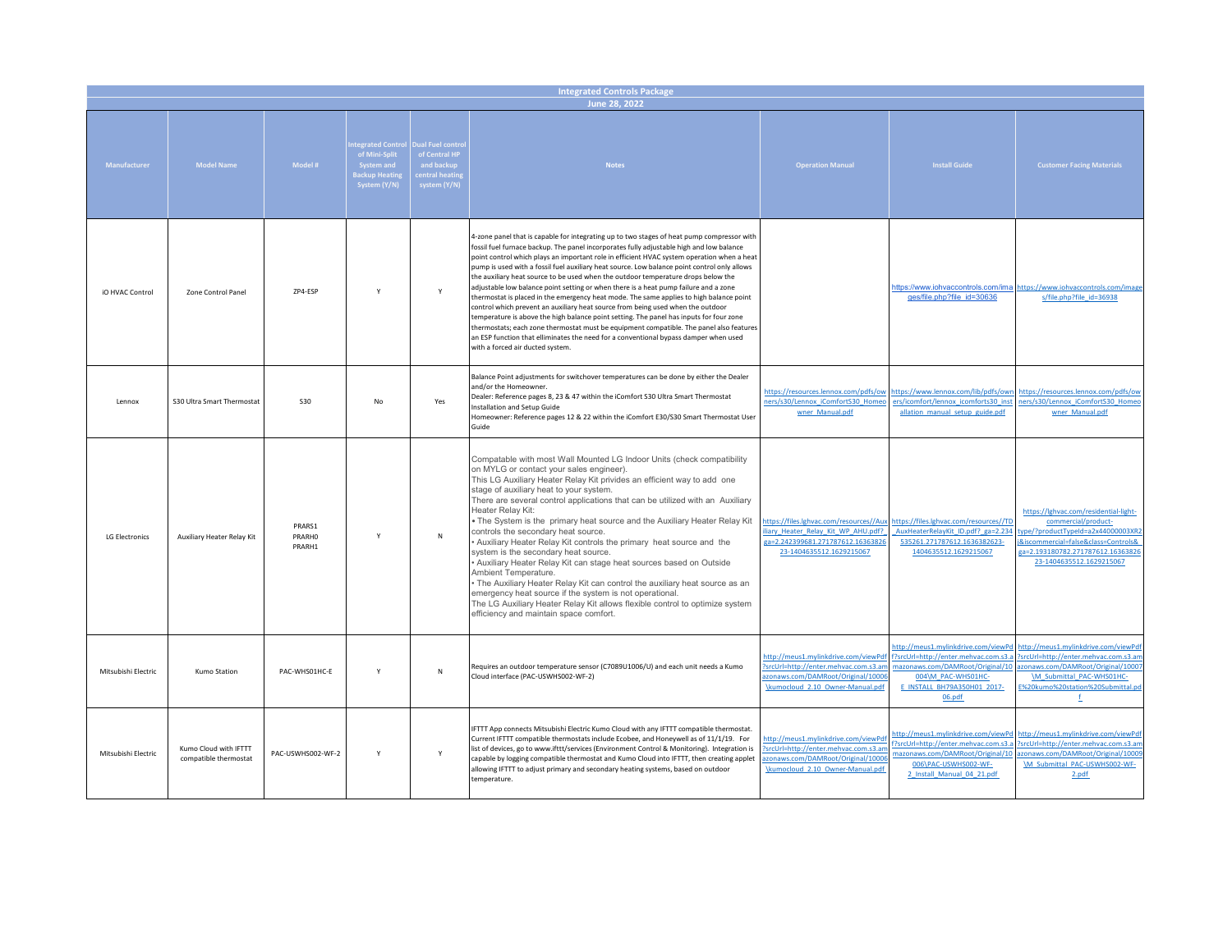| <b>Integrated Controls Package</b><br>June 28, 2022 |                                                |                                   |                                                                                                                   |                                                              |                                                                                                                                                                                                                                                                                                                                                                                                                                                                                                                                                                                                                                                                                                                                                                                                                                                                                                                                                                                                                                                                   |                                                                                                                                                        |                                                                                                                                                                                 |                                                                                                                                                                                                             |  |
|-----------------------------------------------------|------------------------------------------------|-----------------------------------|-------------------------------------------------------------------------------------------------------------------|--------------------------------------------------------------|-------------------------------------------------------------------------------------------------------------------------------------------------------------------------------------------------------------------------------------------------------------------------------------------------------------------------------------------------------------------------------------------------------------------------------------------------------------------------------------------------------------------------------------------------------------------------------------------------------------------------------------------------------------------------------------------------------------------------------------------------------------------------------------------------------------------------------------------------------------------------------------------------------------------------------------------------------------------------------------------------------------------------------------------------------------------|--------------------------------------------------------------------------------------------------------------------------------------------------------|---------------------------------------------------------------------------------------------------------------------------------------------------------------------------------|-------------------------------------------------------------------------------------------------------------------------------------------------------------------------------------------------------------|--|
| Manufacturer                                        | <b>Model Name</b>                              | Model #                           | <b>Itegrated Control Dual Fuel control</b><br>of Mini-Split<br>System and<br><b>Sackup Heatin</b><br>System (Y/N) | of Central HP<br>and backup<br>entral heatin<br>system (Y/N) | <b>Notes</b>                                                                                                                                                                                                                                                                                                                                                                                                                                                                                                                                                                                                                                                                                                                                                                                                                                                                                                                                                                                                                                                      | <b>Operation Manual</b>                                                                                                                                | <b>Install Guide</b>                                                                                                                                                            | <b>Customer Facing Materials</b>                                                                                                                                                                            |  |
| <b>iO HVAC Control</b>                              | Zone Control Panel                             | ZP4-ESP                           | $\mathsf{Y}$                                                                                                      | Y                                                            | 4-zone panel that is capable for integrating up to two stages of heat pump compressor with<br>fossil fuel furnace backup. The panel incorporates fully adjustable high and low balance<br>point control which plays an important role in efficient HVAC system operation when a heat<br>pump is used with a fossil fuel auxiliary heat source. Low balance point control only allows<br>the auxiliary heat source to be used when the outdoor temperature drops below the<br>adjustable low balance point setting or when there is a heat pump failure and a zone<br>thermostat is placed in the emergency heat mode. The same applies to high balance point<br>control which prevent an auxiliary heat source from being used when the outdoor<br>temperature is above the high balance point setting. The panel has inputs for four zone<br>thermostats; each zone thermostat must be equipment compatible. The panel also features<br>an ESP function that elliminates the need for a conventional bypass damper when used<br>with a forced air ducted system. |                                                                                                                                                        | https://www.iohvaccontrols.com/ima<br>ges/file.php?file id=30636                                                                                                                | https://www.iohvaccontrols.com/image<br>s/file.php?file_id=36938                                                                                                                                            |  |
| Lennox                                              | S30 Ultra Smart Thermostat                     | <b>S30</b>                        | No                                                                                                                | Yes                                                          | Balance Point adjustments for switchover temperatures can be done by either the Dealer<br>and/or the Homeowner.<br>Dealer: Reference pages 8, 23 & 47 within the iComfort S30 Ultra Smart Thermostat<br>Installation and Setup Guide<br>Homeowner: Reference pages 12 & 22 within the iComfort E30/S30 Smart Thermostat User<br>Guide                                                                                                                                                                                                                                                                                                                                                                                                                                                                                                                                                                                                                                                                                                                             | https://resources.lennox.com/pdfs/ov<br>ners/s30/Lennox iComfortS30 Homed<br>wner Manual.pdf                                                           | https://www.lennox.com/lib/pdfs/owr<br>ers/icomfort/lennox icomforts30 inst<br>allation manual setup guide.pdf                                                                  | https://resources.lennox.com/pdfs/ow<br>ners/s30/Lennox iComfortS30 Home<br>wner Manual.pdf                                                                                                                 |  |
| <b>LG Electronics</b>                               | Auxiliary Heater Relay Kit                     | PRARS1<br><b>PRARHO</b><br>PRARH1 | Y                                                                                                                 | $\mathsf{N}$                                                 | Compatable with most Wall Mounted LG Indoor Units (check compatibility<br>on MYLG or contact your sales engineer).<br>This LG Auxiliary Heater Relay Kit privides an efficient way to add one<br>stage of auxiliary heat to your system.<br>There are several control applications that can be utilized with an Auxiliary<br>Heater Relay Kit:<br>. The System is the primary heat source and the Auxiliary Heater Relay Kit<br>controls the secondary heat source.<br>Auxiliary Heater Relay Kit controls the primary heat source and the<br>system is the secondary heat source.<br>• Auxiliary Heater Relay Kit can stage heat sources based on Outside<br>Ambient Temperature.<br>• The Auxiliary Heater Relay Kit can control the auxiliary heat source as an<br>emergency heat source if the system is not operational.<br>The LG Auxiliary Heater Relay Kit allows flexible control to optimize system<br>efficiency and maintain space comfort.                                                                                                           | https://files.lghvac.com/resources//Aux<br>liary Heater Relay Kit WP AHU.pdf?<br>ga=2.242399681.271787612.16363826<br>23-1404635512.1629215067         | https://files.lghvac.com/resources//TD<br>AuxHeaterRelayKit ID.pdf? ga=2.234<br>535261.271787612.1636382623-<br>1404635512.1629215067                                           | https://lghvac.com/residential-light-<br>commercial/product-<br>type/?productTypeId=a2x44000003XR2<br>j&iscommercial=false&class=Controls&<br>ga=2.193180782.271787612.16363826<br>23-1404635512.1629215067 |  |
| Mitsubishi Electric                                 | Kumo Station                                   | PAC-WHS01HC-E                     | Y                                                                                                                 | N                                                            | Requires an outdoor temperature sensor (C7089U1006/U) and each unit needs a Kumo<br>Cloud interface (PAC-USWHS002-WF-2)                                                                                                                                                                                                                                                                                                                                                                                                                                                                                                                                                                                                                                                                                                                                                                                                                                                                                                                                           | http://meus1.mylinkdrive.com/viewPd<br>?srcUrl=http://enter.mehvac.com.s3.an<br>azonaws.com/DAMRoot/Original/10006<br>\kumocloud 2.10 Owner-Manual.pdf | http://meus1.mylinkdrive.com/viewPd<br>f?srcUrl=http://enter.mehvac.com.s3.a<br>mazonaws.com/DAMRoot/Original/10<br>004\M PAC-WHS01HC-<br>E INSTALL BH79A350H01 2017-<br>06.pdf | http://meus1.mylinkdrive.com/viewPd<br>?srcUrl=http://enter.mehvac.com.s3.am<br>azonaws.com/DAMRoot/Original/10007<br>\M Submittal PAC-WHS01HC-<br>E%20kumo%20station%20Submittal.pd<br>f.                  |  |
| Mitsubishi Flectric                                 | Kumo Cloud with IFTTT<br>compatible thermostat | PAC-USWHS002-WF-2                 | Y                                                                                                                 | Y                                                            | IFTTT App connects Mitsubishi Electric Kumo Cloud with any IFTTT compatible thermostat.<br>Current IFTTT compatible thermostats include Ecobee, and Honeywell as of 11/1/19. For<br>list of devices, go to www.ifttt/services (Environment Control & Monitoring). Integration is<br>capable by logging compatible thermostat and Kumo Cloud into IFTTT, then creating applet<br>allowing IFTTT to adjust primary and secondary heating systems, based on outdoor<br>temperature.                                                                                                                                                                                                                                                                                                                                                                                                                                                                                                                                                                                  | http://meus1.mylinkdrive.com/viewPd<br>?srcUrl=http://enter.mehvac.com.s3.ar<br>azonaws.com/DAMRoot/Original/1000<br>\kumocloud 2.10 Owner-Manual.pdf  | http://meus1.mylinkdrive.com/viewPd<br>f?srcUrl=http://enter.mehvac.com.s3.a<br>mazonaws.com/DAMRoot/Original/10<br>006\PAC-USWHS002-WF-<br>2 Install Manual 04 21.pdf          | http://meus1.mylinkdrive.com/viewPd<br>?srcUrl=http://enter.mehvac.com.s3.ar<br>azonaws.com/DAMRoot/Original/10009<br>\M Submittal PAC-USWHS002-WF-<br>2.pdf                                                |  |